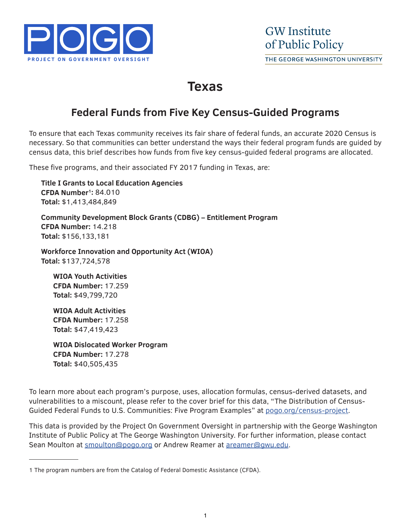

# **Texas**

### **Federal Funds from Five Key Census-Guided Programs**

To ensure that each Texas community receives its fair share of federal funds, an accurate 2020 Census is necessary. So that communities can better understand the ways their federal program funds are guided by census data, this brief describes how funds from five key census-guided federal programs are allocated.

These five programs, and their associated FY 2017 funding in Texas, are:

**Title I Grants to Local Education Agencies CFDA Number1:** 84.010 **Total:** \$1,413,484,849

**Community Development Block Grants (CDBG) – Entitlement Program CFDA Number:** 14.218 **Total:** \$156,133,181

**Workforce Innovation and Opportunity Act (WIOA) Total:** \$137,724,578

**WIOA Youth Activities CFDA Number:** 17.259 **Total:** \$49,799,720

**WIOA Adult Activities CFDA Number:** 17.258 **Total:** \$47,419,423

**WIOA Dislocated Worker Program CFDA Number:** 17.278 **Total:** \$40,505,435

To learn more about each program's purpose, uses, allocation formulas, census-derived datasets, and vulnerabilities to a miscount, please refer to the cover brief for this data, "The Distribution of Census-Guided Federal Funds to U.S. Communities: Five Program Examples" at pogo.org/census-project.

This data is provided by the Project On Government Oversight in partnership with the George Washington Institute of Public Policy at The George Washington University. For further information, please contact Sean Moulton at smoulton@pogo.org or Andrew Reamer at areamer@gwu.edu.

<sup>1</sup> The program numbers are from the Catalog of Federal Domestic Assistance (CFDA).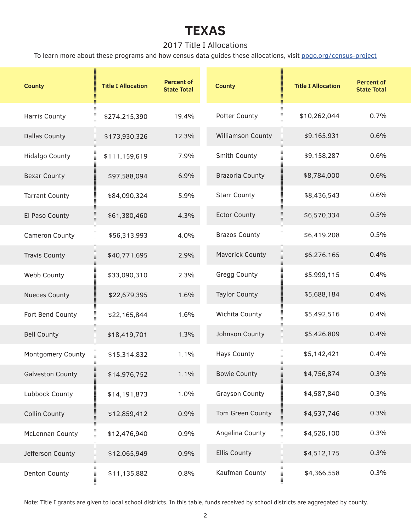### 2017 Title I Allocations

To learn more about these programs and how census data guides these allocations, visit pogo.org/census-project

| <b>County</b>           | <b>Title I Allocation</b> | <b>Percent of</b><br><b>State Total</b> | <b>County</b>            | <b>Title I Allocation</b> | <b>Percent of</b><br><b>State Total</b> |
|-------------------------|---------------------------|-----------------------------------------|--------------------------|---------------------------|-----------------------------------------|
| <b>Harris County</b>    | \$274,215,390             | 19.4%                                   | Potter County            | \$10,262,044              | 0.7%                                    |
| <b>Dallas County</b>    | \$173,930,326             | 12.3%                                   | <b>Williamson County</b> | \$9,165,931               | 0.6%                                    |
| <b>Hidalgo County</b>   | \$111,159,619             | 7.9%                                    | Smith County             | \$9,158,287               | 0.6%                                    |
| <b>Bexar County</b>     | \$97,588,094              | 6.9%                                    | <b>Brazoria County</b>   | \$8,784,000               | 0.6%                                    |
| <b>Tarrant County</b>   | \$84,090,324              | 5.9%                                    | <b>Starr County</b>      | \$8,436,543               | 0.6%                                    |
| El Paso County          | \$61,380,460              | 4.3%                                    | <b>Ector County</b>      | \$6,570,334               | 0.5%                                    |
| Cameron County          | \$56,313,993              | 4.0%                                    | <b>Brazos County</b>     | \$6,419,208               | 0.5%                                    |
| <b>Travis County</b>    | \$40,771,695              | 2.9%                                    | <b>Maverick County</b>   | \$6,276,165               | 0.4%                                    |
| Webb County             | \$33,090,310              | 2.3%                                    | <b>Gregg County</b>      | \$5,999,115               | 0.4%                                    |
| <b>Nueces County</b>    | \$22,679,395              | 1.6%                                    | <b>Taylor County</b>     | \$5,688,184               | 0.4%                                    |
| Fort Bend County        | \$22,165,844              | 1.6%                                    | Wichita County           | \$5,492,516               | 0.4%                                    |
| <b>Bell County</b>      | \$18,419,701              | 1.3%                                    | Johnson County           | \$5,426,809               | 0.4%                                    |
| Montgomery County       | \$15,314,832              | 1.1%                                    | <b>Hays County</b>       | \$5,142,421               | 0.4%                                    |
| <b>Galveston County</b> | \$14,976,752              | 1.1%                                    | <b>Bowie County</b>      | \$4,756,874               | 0.3%                                    |
| Lubbock County          | \$14,191,873              | 1.0%                                    | <b>Grayson County</b>    | \$4,587,840               | 0.3%                                    |
| <b>Collin County</b>    | \$12,859,412              | 0.9%                                    | Tom Green County         | \$4,537,746               | 0.3%                                    |
| <b>McLennan County</b>  | \$12,476,940              | 0.9%                                    | Angelina County          | \$4,526,100               | 0.3%                                    |
| Jefferson County        | \$12,065,949              | 0.9%                                    | <b>Ellis County</b>      | \$4,512,175               | 0.3%                                    |
| <b>Denton County</b>    | \$11,135,882              | 0.8%                                    | Kaufman County           | \$4,366,558               | 0.3%                                    |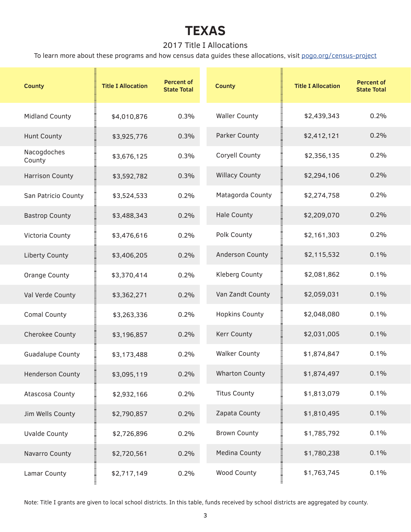### 2017 Title I Allocations

To learn more about these programs and how census data guides these allocations, visit pogo.org/census-project

| <b>County</b>           | <b>Title I Allocation</b> | <b>Percent of</b><br><b>State Total</b> | <b>County</b>         | <b>Title I Allocation</b> | <b>Percent of</b><br><b>State Total</b> |
|-------------------------|---------------------------|-----------------------------------------|-----------------------|---------------------------|-----------------------------------------|
| <b>Midland County</b>   | \$4,010,876               | 0.3%                                    | <b>Waller County</b>  | \$2,439,343               | 0.2%                                    |
| <b>Hunt County</b>      | \$3,925,776               | 0.3%                                    | Parker County         | \$2,412,121               | 0.2%                                    |
| Nacogdoches<br>County   | \$3,676,125               | 0.3%                                    | Coryell County        | \$2,356,135               | 0.2%                                    |
| <b>Harrison County</b>  | \$3,592,782               | 0.3%                                    | <b>Willacy County</b> | \$2,294,106               | 0.2%                                    |
| San Patricio County     | \$3,524,533               | 0.2%                                    | Matagorda County      | \$2,274,758               | 0.2%                                    |
| <b>Bastrop County</b>   | \$3,488,343               | 0.2%                                    | <b>Hale County</b>    | \$2,209,070               | 0.2%                                    |
| Victoria County         | \$3,476,616               | 0.2%                                    | Polk County           | \$2,161,303               | 0.2%                                    |
| <b>Liberty County</b>   | \$3,406,205               | 0.2%                                    | Anderson County       | \$2,115,532               | 0.1%                                    |
| <b>Orange County</b>    | \$3,370,414               | 0.2%                                    | Kleberg County        | \$2,081,862               | 0.1%                                    |
| Val Verde County        | \$3,362,271               | 0.2%                                    | Van Zandt County      | \$2,059,031               | 0.1%                                    |
| <b>Comal County</b>     | \$3,263,336               | 0.2%                                    | <b>Hopkins County</b> | \$2,048,080               | 0.1%                                    |
| <b>Cherokee County</b>  | \$3,196,857               | 0.2%                                    | Kerr County           | \$2,031,005               | 0.1%                                    |
| <b>Guadalupe County</b> | \$3,173,488               | 0.2%                                    | <b>Walker County</b>  | \$1,874,847               | 0.1%                                    |
| <b>Henderson County</b> | \$3,095,119               | 0.2%                                    | <b>Wharton County</b> | \$1,874,497               | 0.1%                                    |
| <b>Atascosa County</b>  | \$2,932,166               | 0.2%                                    | <b>Titus County</b>   | \$1,813,079               | 0.1%                                    |
| Jim Wells County        | \$2,790,857               | 0.2%                                    | Zapata County         | \$1,810,495               | 0.1%                                    |
| <b>Uvalde County</b>    | \$2,726,896               | 0.2%                                    | <b>Brown County</b>   | \$1,785,792               | 0.1%                                    |
| Navarro County          | \$2,720,561               | 0.2%                                    | <b>Medina County</b>  | \$1,780,238               | 0.1%                                    |
| Lamar County            | \$2,717,149               | 0.2%                                    | Wood County           | \$1,763,745               | 0.1%                                    |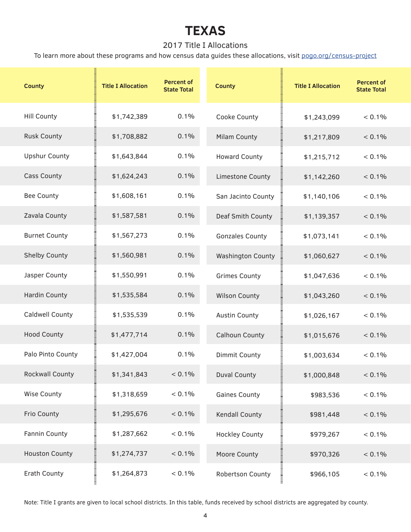### 2017 Title I Allocations

To learn more about these programs and how census data guides these allocations, visit pogo.org/census-project

| <b>County</b>          | <b>Title I Allocation</b> | <b>Percent of</b><br><b>State Total</b> | <b>County</b>            | <b>Title I Allocation</b> | <b>Percent of</b><br><b>State Total</b> |
|------------------------|---------------------------|-----------------------------------------|--------------------------|---------------------------|-----------------------------------------|
| <b>Hill County</b>     | \$1,742,389               | 0.1%                                    | Cooke County             | \$1,243,099               | $< 0.1\%$                               |
| <b>Rusk County</b>     | \$1,708,882               | 0.1%                                    | Milam County             | \$1,217,809               | $< 0.1\%$                               |
| <b>Upshur County</b>   | \$1,643,844               | 0.1%                                    | <b>Howard County</b>     | \$1,215,712               | $< 0.1\%$                               |
| <b>Cass County</b>     | \$1,624,243               | 0.1%                                    | Limestone County         | \$1,142,260               | $< 0.1\%$                               |
| <b>Bee County</b>      | \$1,608,161               | 0.1%                                    | San Jacinto County       | \$1,140,106               | $< 0.1\%$                               |
| Zavala County          | \$1,587,581               | 0.1%                                    | Deaf Smith County        | \$1,139,357               | $< 0.1\%$                               |
| <b>Burnet County</b>   | \$1,567,273               | 0.1%                                    | <b>Gonzales County</b>   | \$1,073,141               | $< 0.1\%$                               |
| <b>Shelby County</b>   | \$1,560,981               | 0.1%                                    | <b>Washington County</b> | \$1,060,627               | $< 0.1\%$                               |
| Jasper County          | \$1,550,991               | 0.1%                                    | <b>Grimes County</b>     | \$1,047,636               | $< 0.1\%$                               |
| <b>Hardin County</b>   | \$1,535,584               | 0.1%                                    | <b>Wilson County</b>     | \$1,043,260               | $< 0.1\%$                               |
| <b>Caldwell County</b> | \$1,535,539               | 0.1%                                    | <b>Austin County</b>     | \$1,026,167               | $< 0.1\%$                               |
| <b>Hood County</b>     | \$1,477,714               | 0.1%                                    | <b>Calhoun County</b>    | \$1,015,676               | $< 0.1\%$                               |
| Palo Pinto County      | \$1,427,004               | 0.1%                                    | <b>Dimmit County</b>     | \$1,003,634               | $< 0.1\%$                               |
| <b>Rockwall County</b> | \$1,341,843               | $< 0.1\%$                               | <b>Duval County</b>      | \$1,000,848               | $< 0.1\%$                               |
| <b>Wise County</b>     | \$1,318,659               | $< 0.1\%$                               | <b>Gaines County</b>     | \$983,536                 | $< 0.1\%$                               |
| Frio County            | \$1,295,676               | $< 0.1\%$                               | <b>Kendall County</b>    | \$981,448                 | $< 0.1\%$                               |
| Fannin County          | \$1,287,662               | $< 0.1\%$                               | <b>Hockley County</b>    | \$979,267                 | $< 0.1\%$                               |
| <b>Houston County</b>  | \$1,274,737               | $< 0.1\%$                               | Moore County             | \$970,326                 | $< 0.1\%$                               |
| Erath County           | \$1,264,873               | $< 0.1\%$                               | Robertson County         | \$966,105                 | $< 0.1\%$                               |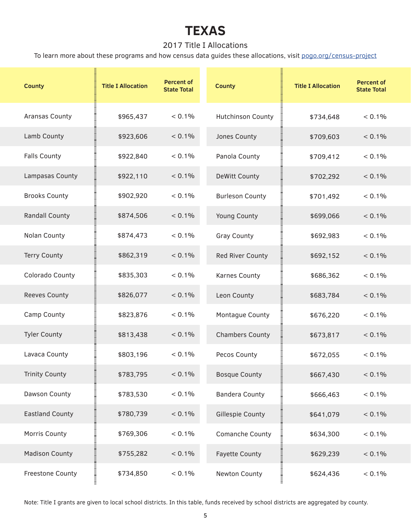### 2017 Title I Allocations

To learn more about these programs and how census data guides these allocations, visit pogo.org/census-project

| <b>County</b>           | <b>Title I Allocation</b> | <b>Percent of</b><br><b>State Total</b> | <b>County</b>                          | <b>Title I Allocation</b> | <b>Percent of</b><br><b>State Total</b> |
|-------------------------|---------------------------|-----------------------------------------|----------------------------------------|---------------------------|-----------------------------------------|
| <b>Aransas County</b>   | \$965,437                 | $< 0.1\%$                               | <b>Hutchinson County</b>               | \$734,648                 | $< 0.1\%$                               |
| Lamb County             | \$923,606                 | $< 0.1\%$                               | Jones County                           | \$709,603                 | $< 0.1\%$                               |
| <b>Falls County</b>     | \$922,840                 | $< 0.1\%$                               | Panola County                          | \$709,412                 | $< 0.1\%$                               |
| Lampasas County         | \$922,110                 | $< 0.1\%$                               | <b>DeWitt County</b>                   | \$702,292                 | $< 0.1\%$                               |
| <b>Brooks County</b>    | \$902,920                 | $< 0.1\%$                               | <b>Burleson County</b>                 | \$701,492                 | $< 0.1\%$                               |
| <b>Randall County</b>   | \$874,506                 | $< 0.1\%$                               | <b>Young County</b>                    | \$699,066                 | $< 0.1\%$                               |
| Nolan County            | \$874,473                 | $< 0.1\%$                               | <b>Gray County</b>                     | \$692,983                 | $< 0.1\%$                               |
| <b>Terry County</b>     | \$862,319                 | $< 0.1\%$                               | Red River County                       | \$692,152                 | $< 0.1\%$                               |
| Colorado County         | \$835,303                 | $< 0.1\%$                               | <b>Karnes County</b>                   | \$686,362                 | $< 0.1\%$                               |
| <b>Reeves County</b>    | \$826,077                 | $< 0.1\%$                               | Leon County                            | \$683,784                 | $< 0.1\%$                               |
| Camp County             | \$823,876                 | $< 0.1\%$                               | Montague County                        | \$676,220                 | $< 0.1\%$                               |
| <b>Tyler County</b>     | \$813,438                 | $< 0.1\%$                               | <b>Chambers County</b>                 | \$673,817                 | $< 0.1\%$                               |
| Lavaca County           | \$803,196                 | $< 0.1\%$                               | Pecos County                           | \$672,055                 | $< 0.1\%$                               |
| <b>Trinity County</b>   | \$783,795                 | $< 0.1\%$                               | <b>Bosque County</b><br>lilliania<br>E | \$667,430                 | $< 0.1\%$                               |
| Dawson County           | \$783,530                 | $< 0.1\%$                               | <b>Bandera County</b>                  | \$666,463                 | $< 0.1\%$                               |
| <b>Eastland County</b>  | \$780,739                 | $< 0.1\%$                               | <b>Gillespie County</b>                | \$641,079                 | $< 0.1\%$                               |
| Morris County           | \$769,306                 | $< 0.1\%$                               | Comanche County                        | \$634,300                 | $< 0.1\%$                               |
| <b>Madison County</b>   | \$755,282                 | $< 0.1\%$                               | <b>Fayette County</b>                  | \$629,239                 | $< 0.1\%$                               |
| <b>Freestone County</b> | \$734,850                 | $< 0.1\%$                               | Newton County                          | \$624,436                 | $< 0.1\%$                               |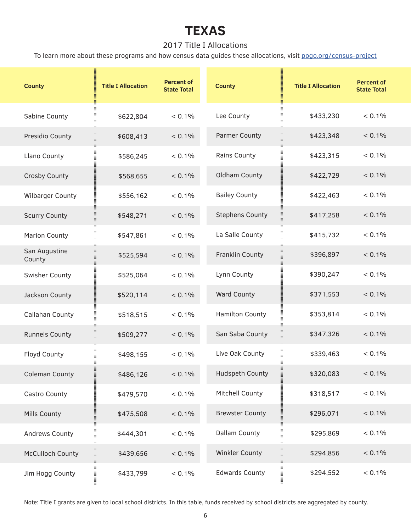### 2017 Title I Allocations

To learn more about these programs and how census data guides these allocations, visit pogo.org/census-project

| <b>County</b>           | <b>Title I Allocation</b> | <b>Percent of</b><br><b>State Total</b> | <b>County</b>          | <b>Title I Allocation</b> | <b>Percent of</b><br><b>State Total</b> |
|-------------------------|---------------------------|-----------------------------------------|------------------------|---------------------------|-----------------------------------------|
| Sabine County           | \$622,804                 | $< 0.1\%$                               | Lee County             | \$433,230                 | < 0.1%                                  |
| Presidio County         | \$608,413                 | $< 0.1\%$                               | <b>Parmer County</b>   | \$423,348                 | $< 0.1\%$                               |
| Llano County            | \$586,245                 | < 0.1%                                  | <b>Rains County</b>    | \$423,315                 | $< 0.1\%$                               |
| <b>Crosby County</b>    | \$568,655                 | $< 0.1\%$                               | Oldham County          | \$422,729                 | $< 0.1\%$                               |
| <b>Wilbarger County</b> | \$556,162                 | $< 0.1\%$                               | <b>Bailey County</b>   | \$422,463                 | $< 0.1\%$                               |
| <b>Scurry County</b>    | \$548,271                 | $< 0.1\%$                               | <b>Stephens County</b> | \$417,258                 | $< 0.1\%$                               |
| <b>Marion County</b>    | \$547,861                 | $< 0.1\%$                               | La Salle County        | \$415,732                 | < 0.1%                                  |
| San Augustine<br>County | \$525,594                 | $< 0.1\%$                               | Franklin County        | \$396,897                 | $< 0.1\%$                               |
| Swisher County          | \$525,064                 | $< 0.1\%$                               | Lynn County            | \$390,247                 | $< 0.1\%$                               |
| Jackson County          | \$520,114                 | $< 0.1\%$                               | <b>Ward County</b>     | \$371,553                 | $< 0.1\%$                               |
| <b>Callahan County</b>  | \$518,515                 | $< 0.1\%$                               | Hamilton County        | \$353,814                 | $< 0.1\%$                               |
| <b>Runnels County</b>   | \$509,277                 | $< 0.1\%$                               | San Saba County        | \$347,326                 | $< 0.1\%$                               |
| Floyd County            | \$498,155                 | $< 0.1\%$                               | Live Oak County        | \$339,463                 | < 0.1%                                  |
| <b>Coleman County</b>   | \$486,126                 | $< 0.1\%$                               | <b>Hudspeth County</b> | \$320,083                 | $< 0.1\%$                               |
| Castro County           | \$479,570                 | $< 0.1\%$                               | Mitchell County        | \$318,517                 | $< 0.1\%$                               |
| Mills County            | \$475,508                 | $< 0.1\%$                               | <b>Brewster County</b> | \$296,071                 | $< 0.1\%$                               |
| Andrews County          | \$444,301                 | $< 0.1\%$                               | Dallam County          | \$295,869                 | $< 0.1\%$                               |
| <b>McCulloch County</b> | \$439,656                 | $< 0.1\%$                               | Winkler County         | \$294,856                 | $< 0.1\%$                               |
| Jim Hogg County         | \$433,799                 | $< 0.1\%$                               | <b>Edwards County</b>  | нишници<br>\$294,552      | $< 0.1\%$                               |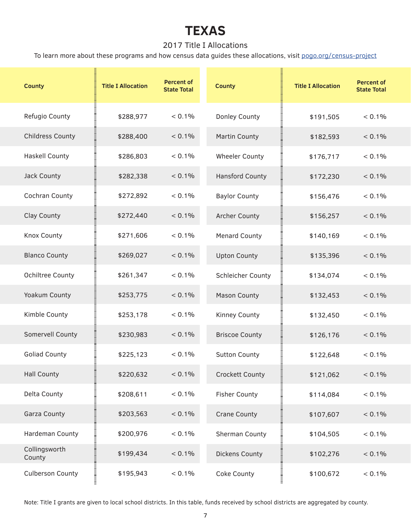### 2017 Title I Allocations

To learn more about these programs and how census data guides these allocations, visit pogo.org/census-project

| <b>County</b>           | <b>Title I Allocation</b>  | <b>Percent of</b><br><b>State Total</b> | <b>County</b>            | <b>Title I Allocation</b> | <b>Percent of</b><br><b>State Total</b> |
|-------------------------|----------------------------|-----------------------------------------|--------------------------|---------------------------|-----------------------------------------|
| Refugio County          | \$288,977                  | $< 0.1\%$                               | Donley County            | \$191,505                 | < 0.1%                                  |
| <b>Childress County</b> | \$288,400                  | $< 0.1\%$                               | <b>Martin County</b>     | \$182,593                 | $< 0.1\%$                               |
| <b>Haskell County</b>   | \$286,803                  | $< 0.1\%$                               | <b>Wheeler County</b>    | \$176,717                 | $< 0.1\%$                               |
| Jack County             | \$282,338                  | $< 0.1\%$                               | <b>Hansford County</b>   | \$172,230                 | $< 0.1\%$                               |
| Cochran County          | \$272,892                  | $< 0.1\%$                               | <b>Baylor County</b>     | \$156,476                 | < 0.1%                                  |
| Clay County             | \$272,440                  | $< 0.1\%$                               | <b>Archer County</b>     | \$156,257                 | $< 0.1\%$                               |
| <b>Knox County</b>      | \$271,606                  | $< 0.1\%$                               | <b>Menard County</b>     | \$140,169                 | $< 0.1\%$                               |
| <b>Blanco County</b>    | \$269,027                  | $< 0.1\%$                               | <b>Upton County</b>      | \$135,396                 | $< 0.1\%$                               |
| <b>Ochiltree County</b> | \$261,347                  | $< 0.1\%$                               | <b>Schleicher County</b> | \$134,074                 | $< 0.1\%$                               |
| Yoakum County           | \$253,775                  | $< 0.1\%$                               | <b>Mason County</b>      | \$132,453                 | $< 0.1\%$                               |
| Kimble County           | \$253,178                  | $< 0.1\%$                               | Kinney County            | \$132,450                 | $< 0.1\%$                               |
| Somervell County        | \$230,983                  | $< 0.1\%$                               | <b>Briscoe County</b>    | \$126,176                 | $< 0.1\%$                               |
| <b>Goliad County</b>    | \$225,123                  | $< 0.1\%$                               | <b>Sutton County</b>     | \$122,648                 | $< 0.1\%$                               |
| <b>Hall County</b>      | \$220,632                  | $< 0.1\%$                               | <b>Crockett County</b>   | \$121,062<br>III<br>IIII  | $< 0.1\%$                               |
| Delta County            | \$208,611                  | $< 0.1\%$                               | <b>Fisher County</b>     | \$114,084                 | $< 0.1\%$                               |
| <b>Garza County</b>     | \$203,563                  | $< 0.1\%$                               | <b>Crane County</b>      | \$107,607                 | $< 0.1\%$                               |
| Hardeman County         | \$200,976                  | $< 0.1\%$                               | Sherman County           | \$104,505                 | $< 0.1\%$                               |
| Collingsworth<br>County | \$199,434                  | $< 0.1\%$                               | Dickens County           | \$102,276                 | $< 0.1\%$                               |
| <b>Culberson County</b> | 0000000000000<br>\$195,943 | $< 0.1\%$                               | Coke County              | \$100,672                 | $< 0.1\%$                               |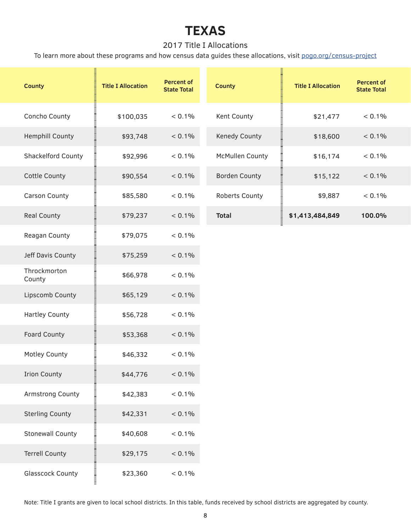#### 2017 Title I Allocations

To learn more about these programs and how census data guides these allocations, visit pogo.org/census-project

| <b>County</b>           | <b>Title I Allocation</b> | <b>Percent of</b><br><b>State Total</b> | <b>County</b>        | <b>Title I Allocation</b> | <b>Percent of</b><br><b>State Total</b> |
|-------------------------|---------------------------|-----------------------------------------|----------------------|---------------------------|-----------------------------------------|
| Concho County           | \$100,035                 | < 0.1%                                  | Kent County          | \$21,477                  | < 0.1%                                  |
| <b>Hemphill County</b>  | \$93,748                  | $< 0.1\%$                               | Kenedy County        | \$18,600                  | $< 0.1\%$                               |
| Shackelford County      | \$92,996                  | $< 0.1\%$                               | McMullen County      | \$16,174                  | $< 0.1\%$                               |
| <b>Cottle County</b>    | \$90,554                  | $< 0.1\%$                               | <b>Borden County</b> | \$15,122                  | $< 0.1\%$                               |
| <b>Carson County</b>    | \$85,580                  | $< 0.1\%$                               | Roberts County       | \$9,887                   | $< 0.1\%$                               |
| <b>Real County</b>      | \$79,237                  | $< 0.1\%$                               | <b>Total</b>         | \$1,413,484,849           | 100.0%                                  |
| Reagan County           | \$79,075                  | < 0.1%                                  |                      |                           |                                         |
| Jeff Davis County       | \$75,259                  | $< 0.1\%$                               |                      |                           |                                         |
| Throckmorton<br>County  | \$66,978                  | $< 0.1\%$                               |                      |                           |                                         |
| Lipscomb County         | \$65,129                  | $< 0.1\%$                               |                      |                           |                                         |
| <b>Hartley County</b>   | \$56,728                  | $< 0.1\%$                               |                      |                           |                                         |
| Foard County            | \$53,368                  | $< 0.1\%$                               |                      |                           |                                         |
| Motley County           | \$46,332                  | $< 0.1\%$                               |                      |                           |                                         |
| <b>Irion County</b>     | \$44,776                  | $< 0.1\%$                               |                      |                           |                                         |
| <b>Armstrong County</b> | \$42,383                  | $< 0.1\%$                               |                      |                           |                                         |
| <b>Sterling County</b>  | \$42,331                  | $< 0.1\%$                               |                      |                           |                                         |
| <b>Stonewall County</b> | \$40,608                  | $< 0.1\%$                               |                      |                           |                                         |
| <b>Terrell County</b>   | \$29,175                  | $< 0.1\%$                               |                      |                           |                                         |
| <b>Glasscock County</b> | \$23,360                  | $< 0.1\%$                               |                      |                           |                                         |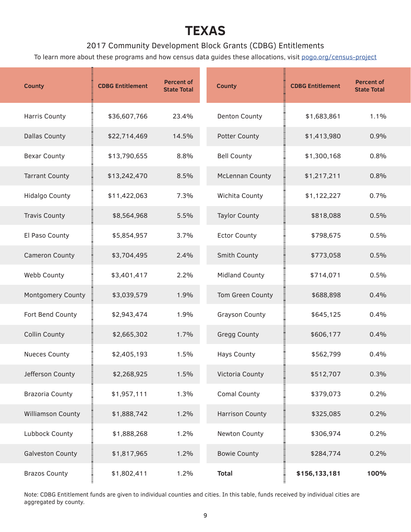#### 2017 Community Development Block Grants (CDBG) Entitlements

To learn more about these programs and how census data guides these allocations, visit pogo.org/census-project

| <b>County</b>            | <b>CDBG Entitlement</b> | <b>Percent of</b><br><b>State Total</b> | <b>County</b>          | <b>CDBG Entitlement</b>    | <b>Percent of</b><br><b>State Total</b> |
|--------------------------|-------------------------|-----------------------------------------|------------------------|----------------------------|-----------------------------------------|
| <b>Harris County</b>     | \$36,607,766            | 23.4%                                   | <b>Denton County</b>   | \$1,683,861                | 1.1%                                    |
| <b>Dallas County</b>     | \$22,714,469            | 14.5%                                   | <b>Potter County</b>   | \$1,413,980                | 0.9%                                    |
| <b>Bexar County</b>      | \$13,790,655            | 8.8%                                    | <b>Bell County</b>     | \$1,300,168                | 0.8%                                    |
| <b>Tarrant County</b>    | \$13,242,470            | 8.5%                                    | <b>McLennan County</b> | \$1,217,211                | 0.8%                                    |
| <b>Hidalgo County</b>    | \$11,422,063            | 7.3%                                    | Wichita County         | \$1,122,227                | 0.7%                                    |
| <b>Travis County</b>     | \$8,564,968             | 5.5%                                    | <b>Taylor County</b>   | \$818,088                  | 0.5%                                    |
| El Paso County           | \$5,854,957             | 3.7%                                    | <b>Ector County</b>    | \$798,675                  | 0.5%                                    |
| <b>Cameron County</b>    | \$3,704,495             | 2.4%                                    | Smith County           | \$773,058                  | 0.5%                                    |
| Webb County              | \$3,401,417             | 2.2%                                    | <b>Midland County</b>  | \$714,071                  | 0.5%                                    |
| <b>Montgomery County</b> | \$3,039,579             | 1.9%                                    | Tom Green County       | \$688,898                  | 0.4%                                    |
| Fort Bend County         | \$2,943,474             | 1.9%                                    | <b>Grayson County</b>  | \$645,125                  | 0.4%                                    |
| <b>Collin County</b>     | \$2,665,302             | 1.7%                                    | <b>Gregg County</b>    | \$606,177                  | 0.4%                                    |
| <b>Nueces County</b>     | \$2,405,193             | 1.5%                                    | <b>Hays County</b>     | \$562,799                  | 0.4%                                    |
| Jefferson County         | \$2,268,925             | 1.5%                                    | Victoria County        | \$512,707                  | 0.3%                                    |
| <b>Brazoria County</b>   | \$1,957,111             | 1.3%                                    | <b>Comal County</b>    | \$379,073                  | 0.2%                                    |
| <b>Williamson County</b> | \$1,888,742             | 1.2%                                    | <b>Harrison County</b> | \$325,085                  | 0.2%                                    |
| Lubbock County           | \$1,888,268             | 1.2%                                    | Newton County          | \$306,974                  | 0.2%                                    |
| <b>Galveston County</b>  | \$1,817,965             | 1.2%                                    | <b>Bowie County</b>    | \$284,774                  | 0.2%                                    |
| <b>Brazos County</b>     | \$1,802,411             | 1.2%                                    | <b>Total</b>           | нинининин<br>\$156,133,181 | 100%                                    |

Note: CDBG Entitlement funds are given to individual counties and cities. In this table, funds received by individual cities are aggregated by county.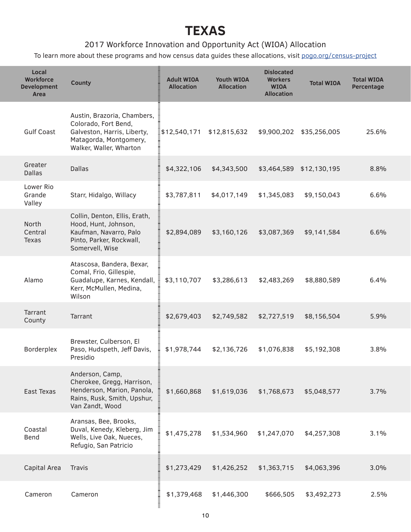#### 2017 Workforce Innovation and Opportunity Act (WIOA) Allocation

To learn more about these programs and how census data guides these allocations, visit pogo.org/census-project

| Local<br><b>Workforce</b><br><b>Development</b><br>Area | <b>County</b>                                                                                                                           | <b>Adult WIOA</b><br><b>Allocation</b> | <b>Youth WIOA</b><br><b>Allocation</b> | <b>Dislocated</b><br><b>Workers</b><br><b>WIOA</b><br><b>Allocation</b> | <b>Total WIOA</b> | <b>Total WIOA</b><br>Percentage |
|---------------------------------------------------------|-----------------------------------------------------------------------------------------------------------------------------------------|----------------------------------------|----------------------------------------|-------------------------------------------------------------------------|-------------------|---------------------------------|
| <b>Gulf Coast</b>                                       | Austin, Brazoria, Chambers,<br>Colorado, Fort Bend,<br>Galveston, Harris, Liberty,<br>Matagorda, Montgomery,<br>Walker, Waller, Wharton | $\frac{1}{2}$ \$12,540,171             | \$12,815,632                           | \$9,900,202                                                             | \$35,256,005      | 25.6%                           |
| Greater<br><b>Dallas</b>                                | <b>Dallas</b>                                                                                                                           | \$4,322,106                            | \$4,343,500                            | \$3,464,589                                                             | \$12,130,195      | 8.8%                            |
| Lower Rio<br>Grande<br>Valley                           | Starr, Hidalgo, Willacy                                                                                                                 | \$3,787,811                            | \$4,017,149                            | \$1,345,083                                                             | \$9,150,043       | 6.6%                            |
| <b>North</b><br>Central<br><b>Texas</b>                 | Collin, Denton, Ellis, Erath,<br>Hood, Hunt, Johnson,<br>Kaufman, Navarro, Palo<br>Pinto, Parker, Rockwall,<br>Somervell, Wise          | \$2,894,089                            | \$3,160,126                            | \$3,087,369                                                             | \$9,141,584       | 6.6%                            |
| Alamo                                                   | Atascosa, Bandera, Bexar,<br>Comal, Frio, Gillespie,<br>Guadalupe, Karnes, Kendall,<br>Kerr, McMullen, Medina,<br>Wilson                | Ī<br>\$3,110,707                       | \$3,286,613                            | \$2,483,269                                                             | \$8,880,589       | 6.4%                            |
| Tarrant<br>County                                       | Tarrant                                                                                                                                 | \$2,679,403                            | \$2,749,582                            | \$2,727,519                                                             | \$8,156,504       | 5.9%                            |
| Borderplex                                              | Brewster, Culberson, El<br>Paso, Hudspeth, Jeff Davis,<br>Presidio                                                                      | \$1,978,744                            | \$2,136,726                            | \$1,076,838                                                             | \$5,192,308       | 3.8%                            |
| East Texas                                              | Anderson, Camp,<br>Cherokee, Gregg, Harrison,<br>Henderson, Marion, Panola,<br>Rains, Rusk, Smith, Upshur,<br>Van Zandt, Wood           | \$1,660,868                            | \$1,619,036                            | \$1,768,673                                                             | \$5,048,577       | 3.7%                            |
| Coastal<br>Bend                                         | Aransas, Bee, Brooks,<br>Duval, Kenedy, Kleberg, Jim<br>Wells, Live Oak, Nueces,<br>Refugio, San Patricio                               | \$1,475,278                            | \$1,534,960                            | \$1,247,070                                                             | \$4,257,308       | 3.1%                            |
| Capital Area                                            | <b>Travis</b>                                                                                                                           | \$1,273,429                            | \$1,426,252                            | \$1,363,715                                                             | \$4,063,396       | 3.0%                            |
| Cameron                                                 | Cameron                                                                                                                                 | \$1,379,468                            | \$1,446,300                            | \$666,505                                                               | \$3,492,273       | 2.5%                            |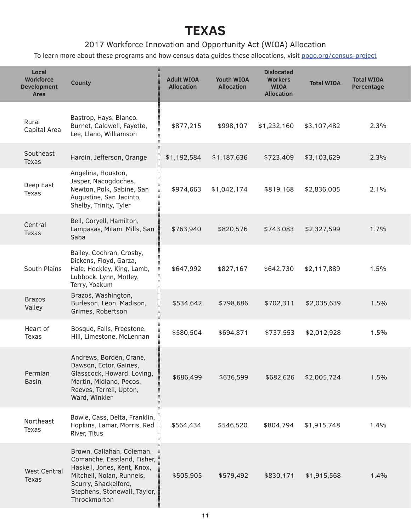#### 2017 Workforce Innovation and Opportunity Act (WIOA) Allocation

To learn more about these programs and how census data guides these allocations, visit pogo.org/census-project

| Local<br><b>Workforce</b><br><b>Development</b><br>Area | <b>County</b>                                                                                                                                                                                | <b>Adult WIOA</b><br><b>Allocation</b> | Youth WIOA<br><b>Allocation</b> | <b>Dislocated</b><br><b>Workers</b><br><b>WIOA</b><br><b>Allocation</b> | <b>Total WIOA</b> | <b>Total WIOA</b><br>Percentage |
|---------------------------------------------------------|----------------------------------------------------------------------------------------------------------------------------------------------------------------------------------------------|----------------------------------------|---------------------------------|-------------------------------------------------------------------------|-------------------|---------------------------------|
| Rural<br>Capital Area                                   | Bastrop, Hays, Blanco,<br>Burnet, Caldwell, Fayette,<br>Lee, Llano, Williamson                                                                                                               | \$877,215                              | \$998,107                       | \$1,232,160                                                             | \$3,107,482       | 2.3%                            |
| Southeast<br><b>Texas</b>                               | Hardin, Jefferson, Orange                                                                                                                                                                    | \$1,192,584                            | \$1,187,636                     | \$723,409                                                               | \$3,103,629       | 2.3%                            |
| Deep East<br>Texas                                      | Angelina, Houston,<br>Jasper, Nacogdoches,<br>Newton, Polk, Sabine, San<br>Augustine, San Jacinto,<br>Shelby, Trinity, Tyler                                                                 | \$974,663                              | \$1,042,174                     | \$819,168                                                               | \$2,836,005       | 2.1%                            |
| Central<br><b>Texas</b>                                 | Bell, Coryell, Hamilton,<br>Lampasas, Milam, Mills, San<br>Saba                                                                                                                              | \$763,940                              | \$820,576                       | \$743,083                                                               | \$2,327,599       | 1.7%                            |
| South Plains                                            | Bailey, Cochran, Crosby,<br>Dickens, Floyd, Garza,<br>Hale, Hockley, King, Lamb,<br>Lubbock, Lynn, Motley,<br>Terry, Yoakum                                                                  | \$647,992                              | \$827,167                       | \$642,730                                                               | \$2,117,889       | 1.5%                            |
| <b>Brazos</b><br>Valley                                 | Brazos, Washington,<br>Burleson, Leon, Madison,<br>Grimes, Robertson                                                                                                                         | \$534,642                              | \$798,686                       | \$702,311                                                               | \$2,035,639       | 1.5%                            |
| Heart of<br><b>Texas</b>                                | Bosque, Falls, Freestone,<br>Hill, Limestone, McLennan                                                                                                                                       | \$580,504                              | \$694,871                       | \$737,553                                                               | \$2,012,928       | 1.5%                            |
| Permian<br><b>Basin</b>                                 | Andrews, Borden, Crane,<br>Dawson, Ector, Gaines,<br>Glasscock, Howard, Loving,<br>Martin, Midland, Pecos,<br>Reeves, Terrell, Upton,<br>Ward, Winkler                                       | \$686,499                              | \$636,599                       | \$682,626                                                               | \$2,005,724       | 1.5%                            |
| Northeast<br>Texas                                      | Bowie, Cass, Delta, Franklin,<br>Hopkins, Lamar, Morris, Red<br>River, Titus                                                                                                                 | \$564,434                              | \$546,520                       | \$804,794                                                               | \$1,915,748       | 1.4%                            |
| <b>West Central</b><br><b>Texas</b>                     | Brown, Callahan, Coleman,<br>Comanche, Eastland, Fisher,<br>Haskell, Jones, Kent, Knox,<br>Mitchell, Nolan, Runnels,<br>Scurry, Shackelford,<br>Stephens, Stonewall, Taylor,<br>Throckmorton | \$505,905                              | \$579,492                       | \$830,171                                                               | \$1,915,568       | 1.4%                            |